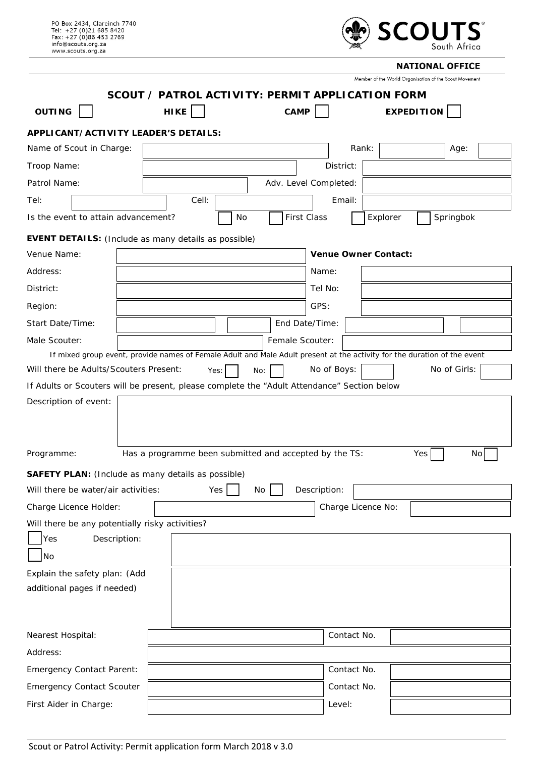| PO Box 2434, Clareinch 7740<br>Tel: +27 (0)21 685 8420<br>$Fax: +27(0)864532769$<br>info@scouts.org.za<br>www.scouts.org.za | <b>SCOUTS</b><br>South Africa                                                                                            |  |  |  |
|-----------------------------------------------------------------------------------------------------------------------------|--------------------------------------------------------------------------------------------------------------------------|--|--|--|
|                                                                                                                             | <b>NATIONAL OFFICE</b>                                                                                                   |  |  |  |
|                                                                                                                             | Member of the World Organisation of the Scout Movement                                                                   |  |  |  |
|                                                                                                                             | SCOUT / PATROL ACTIVITY: PERMIT APPLICATION FORM                                                                         |  |  |  |
| <b>OUTING</b><br>HIKE                                                                                                       | <b>CAMP</b><br><b>EXPEDITION</b>                                                                                         |  |  |  |
| APPLICANT/ACTIVITY LEADER'S DETAILS:                                                                                        |                                                                                                                          |  |  |  |
| Name of Scout in Charge:                                                                                                    | Rank:<br>Age:                                                                                                            |  |  |  |
| Troop Name:                                                                                                                 | District:                                                                                                                |  |  |  |
| Patrol Name:                                                                                                                | Adv. Level Completed:                                                                                                    |  |  |  |
| Cell:<br>Tel:                                                                                                               | Email:                                                                                                                   |  |  |  |
| Is the event to attain advancement?<br>No                                                                                   | <b>First Class</b><br>Springbok<br>Explorer                                                                              |  |  |  |
| <b>EVENT DETAILS:</b> (Include as many details as possible)                                                                 |                                                                                                                          |  |  |  |
| Venue Name:                                                                                                                 | Venue Owner Contact:                                                                                                     |  |  |  |
| Address:                                                                                                                    | Name:                                                                                                                    |  |  |  |
| District:                                                                                                                   | Tel No:                                                                                                                  |  |  |  |
| Region:                                                                                                                     | GPS:                                                                                                                     |  |  |  |
| Start Date/Time:                                                                                                            | End Date/Time:                                                                                                           |  |  |  |
| Male Scouter:                                                                                                               | Female Scouter:                                                                                                          |  |  |  |
|                                                                                                                             | If mixed group event, provide names of Female Adult and Male Adult present at the activity for the duration of the event |  |  |  |
| Will there be Adults/Scouters Present:<br>Yes:                                                                              | No of Girls:<br>No of Boys:<br>No:                                                                                       |  |  |  |
| If Adults or Scouters will be present, please complete the "Adult Attendance" Section below                                 |                                                                                                                          |  |  |  |
| Description of event:                                                                                                       |                                                                                                                          |  |  |  |
| Has a programme been submitted and accepted by the TS:<br>Programme:                                                        | Yes<br>No                                                                                                                |  |  |  |
| <b>SAFETY PLAN:</b> (Include as many details as possible)                                                                   |                                                                                                                          |  |  |  |
| Will there be water/air activities:<br>Yes                                                                                  | Description:<br>No                                                                                                       |  |  |  |
| Charge Licence No:<br>Charge Licence Holder:                                                                                |                                                                                                                          |  |  |  |
| Will there be any potentially risky activities?<br>Description:<br>Yes                                                      |                                                                                                                          |  |  |  |
| No                                                                                                                          |                                                                                                                          |  |  |  |
| Explain the safety plan: (Add                                                                                               |                                                                                                                          |  |  |  |
| additional pages if needed)                                                                                                 |                                                                                                                          |  |  |  |
|                                                                                                                             |                                                                                                                          |  |  |  |
| Nearest Hospital:                                                                                                           | Contact No.                                                                                                              |  |  |  |
| Address:                                                                                                                    |                                                                                                                          |  |  |  |
| <b>Emergency Contact Parent:</b>                                                                                            | Contact No.                                                                                                              |  |  |  |
| <b>Emergency Contact Scouter</b>                                                                                            | Contact No.                                                                                                              |  |  |  |
| First Aider in Charge:                                                                                                      | Level:                                                                                                                   |  |  |  |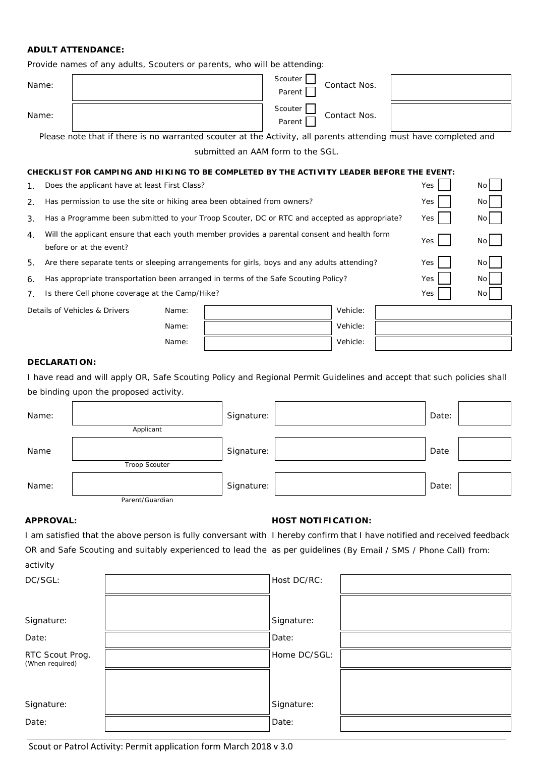## **ADULT ATTENDANCE:**

Provide names of any adults, Scouters or parents, who will be attending:

| Name: | Scouter<br>Contact Nos.<br>Parent |  |
|-------|-----------------------------------|--|
| Name: | Scouter<br>Contact Nos.<br>Parent |  |

Please note that if there is no warranted scouter at the Activity, all parents attending must have completed and submitted an AAM form to the SGL.

#### **CHECKLIST FOR CAMPING AND HIKING TO BE COMPLETED BY THE ACTIVITY LEADER BEFORE THE EVENT:**

- 1. Does the applicant have at least First Class? The Contract Contract Contract Contract Contract Contract Contract On the Contract On the Contract On the Contract On the Contract On the Contract On the Contract On the Con
- 2. Has permission to use the site or hiking area been obtained from owners? Yes No
- 3. Has a Programme been submitted to your Troop Scouter, DC or RTC and accepted as appropriate? Yes No
- 4. Will the applicant ensure that each youth member provides a parental consent and health form before or at the event?
- 5. Are there separate tents or sleeping arrangements for girls, boys and any adults attending? Yes

6. Has appropriate transportation been arranged in terms of the Safe Scouting Policy? Yes Yes No

7. Is there Cell phone coverage at the Camp/Hike? The Communication of the Camp Wes No. 2012.

| Details of Vehicles & Drivers | Name: | Vehicle: |  |
|-------------------------------|-------|----------|--|
|                               | Name: | Vehicle: |  |
|                               | Name: | Vehicle: |  |
|                               |       |          |  |

Yes No

#### **DECLARATION:**

I have read and will apply OR, Safe Scouting Policy and Regional Permit Guidelines and accept that such policies shall be binding upon the proposed activity.

| Name: |                      | Signature: | Date: |  |
|-------|----------------------|------------|-------|--|
|       | Applicant            |            |       |  |
| Name  |                      | Signature: | Date  |  |
|       | <b>Troop Scouter</b> |            |       |  |
| Name: |                      | Signature: | Date: |  |
|       | Parent/Guardian      |            |       |  |

# **APPROVAL: HOST NOTIFICATION:**

I am satisfied that the above person is fully conversant with I hereby confirm that I have notified and received feedback OR and Safe Scouting and suitably experienced to lead the as per guidelines (By Email / SMS / Phone Call) from: activity

| DC/SGL:                            | Host DC/RC:  |  |
|------------------------------------|--------------|--|
|                                    |              |  |
| Signature:                         | Signature:   |  |
| Date:                              | Date:        |  |
| RTC Scout Prog.<br>(When required) | Home DC/SGL: |  |
|                                    |              |  |
| Signature:                         | Signature:   |  |
| Date:                              | Date:        |  |

Scout or Patrol Activity: Permit application form March 2018 v 3.0